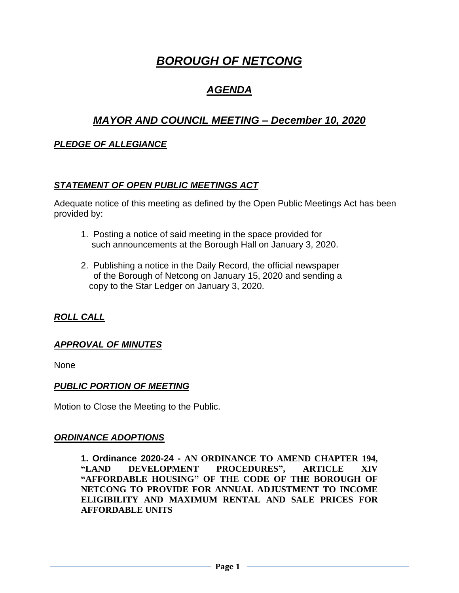# *BOROUGH OF NETCONG*

## *AGENDA*

## *MAYOR AND COUNCIL MEETING – December 10, 2020*

### *PLEDGE OF ALLEGIANCE*

#### *STATEMENT OF OPEN PUBLIC MEETINGS ACT*

Adequate notice of this meeting as defined by the Open Public Meetings Act has been provided by:

- 1. Posting a notice of said meeting in the space provided for such announcements at the Borough Hall on January 3, 2020.
- 2. Publishing a notice in the Daily Record, the official newspaper of the Borough of Netcong on January 15, 2020 and sending a copy to the Star Ledger on January 3, 2020.

### *ROLL CALL*

#### *APPROVAL OF MINUTES*

None

#### *PUBLIC PORTION OF MEETING*

Motion to Close the Meeting to the Public.

#### *ORDINANCE ADOPTIONS*

**1. Ordinance 2020-24 - AN ORDINANCE TO AMEND CHAPTER 194, "LAND DEVELOPMENT PROCEDURES", ARTICLE XIV "AFFORDABLE HOUSING" OF THE CODE OF THE BOROUGH OF NETCONG TO PROVIDE FOR ANNUAL ADJUSTMENT TO INCOME ELIGIBILITY AND MAXIMUM RENTAL AND SALE PRICES FOR AFFORDABLE UNITS**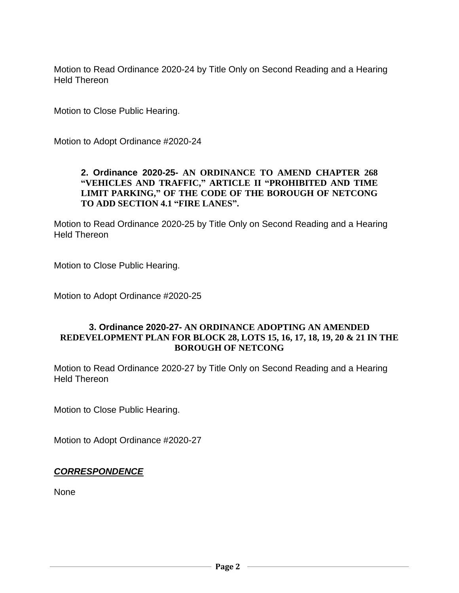Motion to Read Ordinance 2020-24 by Title Only on Second Reading and a Hearing Held Thereon

Motion to Close Public Hearing.

Motion to Adopt Ordinance #2020-24

#### **2. Ordinance 2020-25- AN ORDINANCE TO AMEND CHAPTER 268 "VEHICLES AND TRAFFIC," ARTICLE II "PROHIBITED AND TIME LIMIT PARKING," OF THE CODE OF THE BOROUGH OF NETCONG TO ADD SECTION 4.1 "FIRE LANES".**

Motion to Read Ordinance 2020-25 by Title Only on Second Reading and a Hearing Held Thereon

Motion to Close Public Hearing.

Motion to Adopt Ordinance #2020-25

#### **3. Ordinance 2020-27- AN ORDINANCE ADOPTING AN AMENDED REDEVELOPMENT PLAN FOR BLOCK 28, LOTS 15, 16, 17, 18, 19, 20 & 21 IN THE BOROUGH OF NETCONG**

Motion to Read Ordinance 2020-27 by Title Only on Second Reading and a Hearing Held Thereon

Motion to Close Public Hearing.

Motion to Adopt Ordinance #2020-27

#### *CORRESPONDENCE*

None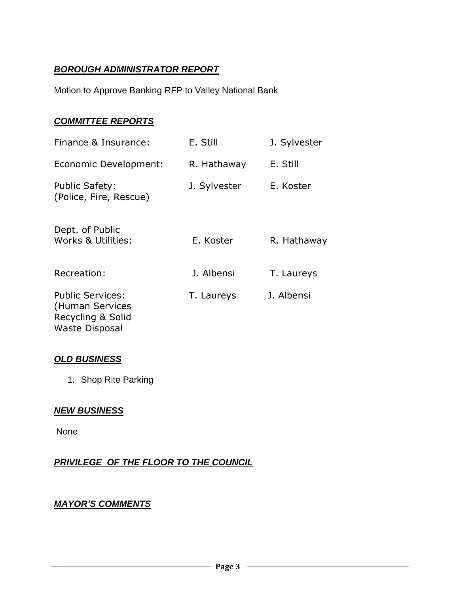## *BOROUGH ADMINISTRATOR REPORT*

Motion to Approve Banking RFP to Valley National Bank

#### *COMMITTEE REPORTS*

| Finance & Insurance:                                                                     | E. Still     | J. Sylvester |
|------------------------------------------------------------------------------------------|--------------|--------------|
| Economic Development:                                                                    | R. Hathaway  | E. Still     |
| <b>Public Safety:</b><br>(Police, Fire, Rescue)                                          | J. Sylvester | E. Koster    |
| Dept. of Public<br>Works & Utilities:                                                    | E. Koster    | R. Hathaway  |
| Recreation:                                                                              | J. Albensi   | T. Laureys   |
| <b>Public Services:</b><br>(Human Services<br>Recycling & Solid<br><b>Waste Disposal</b> | T. Laureys   | J. Albensi   |

#### *OLD BUSINESS*

1. Shop Rite Parking

#### *NEW BUSINESS*

None

*PRIVILEGE OF THE FLOOR TO THE COUNCIL*

### *MAYOR'S COMMENTS*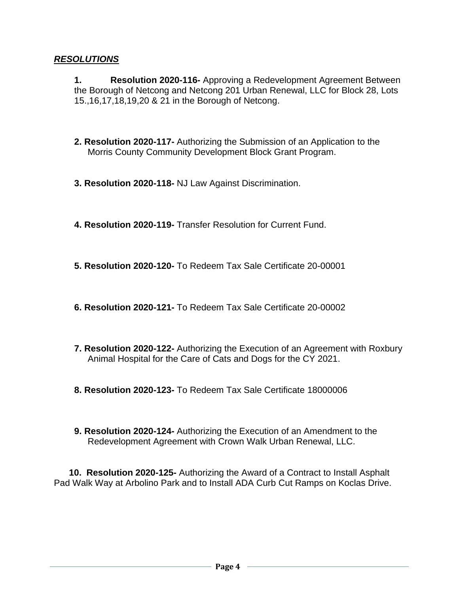#### *RESOLUTIONS*

**1. Resolution 2020-116-** Approving a Redevelopment Agreement Between the Borough of Netcong and Netcong 201 Urban Renewal, LLC for Block 28, Lots 15.,16,17,18,19,20 & 21 in the Borough of Netcong.

- **2. Resolution 2020-117-** Authorizing the Submission of an Application to the Morris County Community Development Block Grant Program.
- **3. Resolution 2020-118-** NJ Law Against Discrimination.
- **4. Resolution 2020-119-** Transfer Resolution for Current Fund.
- **5. Resolution 2020-120-** To Redeem Tax Sale Certificate 20-00001
- **6. Resolution 2020-121-** To Redeem Tax Sale Certificate 20-00002
- **7. Resolution 2020-122-** Authorizing the Execution of an Agreement with Roxbury Animal Hospital for the Care of Cats and Dogs for the CY 2021.
- **8. Resolution 2020-123-** To Redeem Tax Sale Certificate 18000006
- **9. Resolution 2020-124-** Authorizing the Execution of an Amendment to the Redevelopment Agreement with Crown Walk Urban Renewal, LLC.

 **10. Resolution 2020-125-** Authorizing the Award of a Contract to Install Asphalt Pad Walk Way at Arbolino Park and to Install ADA Curb Cut Ramps on Koclas Drive.